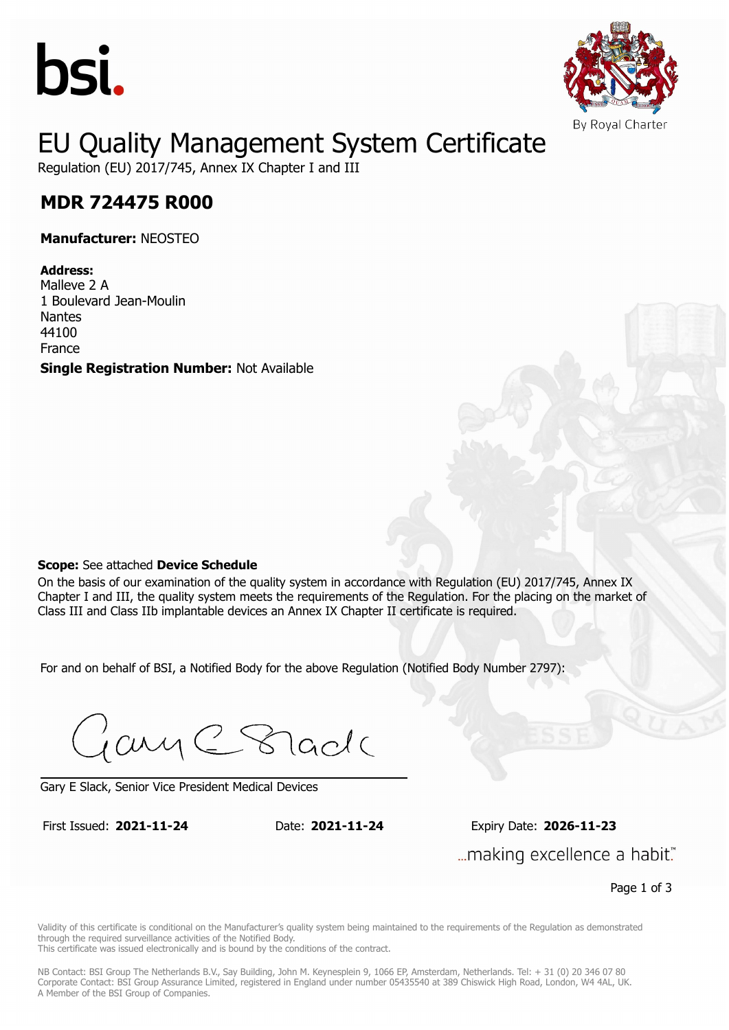



## EU Quality Management System Certificate

Regulation (EU) 2017/745, Annex IX Chapter I and III

## **MDR 724475 R000 MDR 724475 R000**

**Manufacturer:** NEOSTEO

### **Address:**

Malleve 2 A 1 Boulevard Jean-Moulin Nantes 44100 France

**Single Registration Number:** Not Available

#### **Scope:** See attached **Device Schedule**

On the basis of our examination of the quality system in accordance with Regulation (EU) 2017/745, Annex IX Chapter I and III, the quality system meets the requirements of the Regulation. For the placing on the market of Class III and Class IIb implantable devices an Annex IX Chapter II certificate is required.

For and on behalf of BSI, a Notified Body for the above Regulation (Notified Body Number 2797):

Gary C Stade

Gary E Slack, Senior Vice President Medical Devices

First Issued: **2021-11-24** Date: **2021-11-24** Expiry Date: **2026-11-23** First Issued: **2021-11-24** Date: **2021-11-24** Expiry Date: **2026-11-23** "...making excellence a habit.

Page 1 of 3

Validity of this certificate is conditional on the Manufacturer's quality system being maintained to the requirements of the Regulation as demonstrated through the required surveillance activities of the Notified Body.

This certificate was issued electronically and is bound by the conditions of the contract.

NB Contact: BSI Group The Netherlands B.V., Say Building, John M. Keynesplein 9, 1066 EP, Amsterdam, Netherlands. Tel: + 31 (0) 20 346 07 80 Corporate Contact: BSI Group Assurance Limited, registered in England under number 05435540 at 389 Chiswick High Road, London, W4 4AL, UK. A Member of the BSI Group of Companies.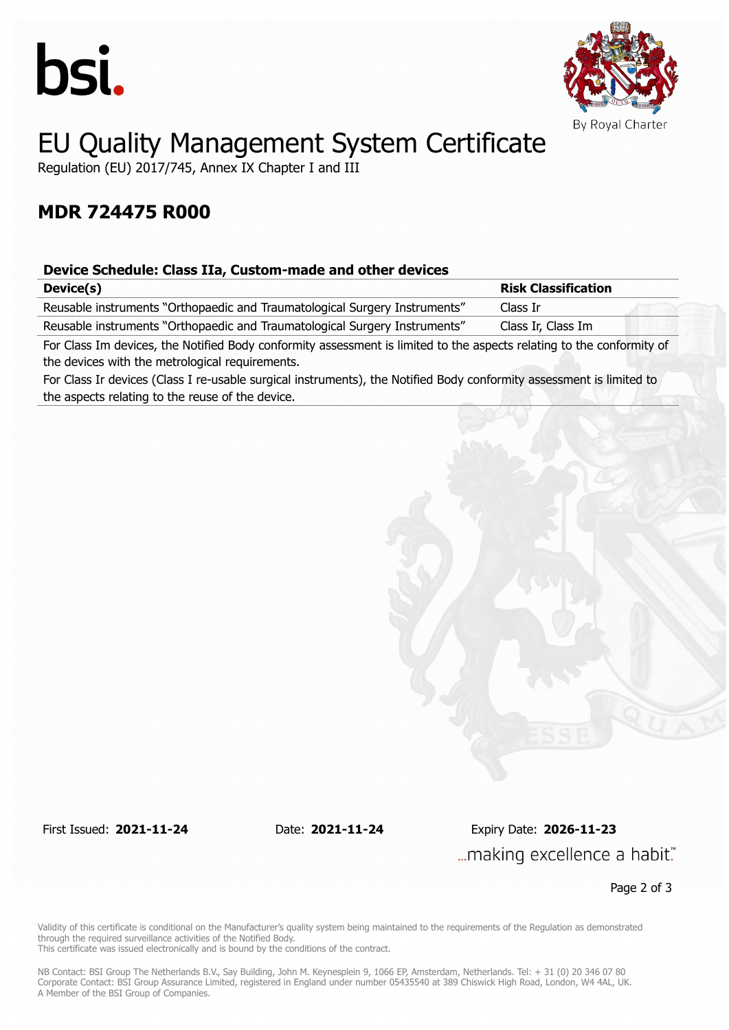



# EU Quality Management System Certificate

Regulation (EU) 2017/745, Annex IX Chapter I and III

### **MDR 724475 R000**

### **Device Schedule: Class IIa, Custom-made and other devices**

| Device(s)                                                                                                             | <b>Risk Classification</b> |  |
|-----------------------------------------------------------------------------------------------------------------------|----------------------------|--|
| Reusable instruments "Orthopaedic and Traumatological Surgery Instruments"                                            | Class Ir                   |  |
| Reusable instruments "Orthopaedic and Traumatological Surgery Instruments"                                            | Class Ir, Class Im         |  |
| For Class Im devices, the Notified Body conformity assessment is limited to the aspects relating to the conformity of |                            |  |

the devices with the metrological requirements.

For Class Ir devices (Class I re-usable surgical instruments), the Notified Body conformity assessment is limited to the aspects relating to the reuse of the device.

First Issued: **2021-11-24** Date: **2021-11-24** Expiry Date: **2026-11-23** ... making excellence a habit."

Page 2 of 3

Validity of this certificate is conditional on the Manufacturer's quality system being maintained to the requirements of the Regulation as demonstrated through the required surveillance activities of the Notified Body.

This certificate was issued electronically and is bound by the conditions of the contract.

NB Contact: BSI Group The Netherlands B.V., Say Building, John M. Keynesplein 9, 1066 EP, Amsterdam, Netherlands. Tel: + 31 (0) 20 346 07 80 Corporate Contact: BSI Group Assurance Limited, registered in England under number 05435540 at 389 Chiswick High Road, London, W4 4AL, UK. A Member of the BSI Group of Companies.